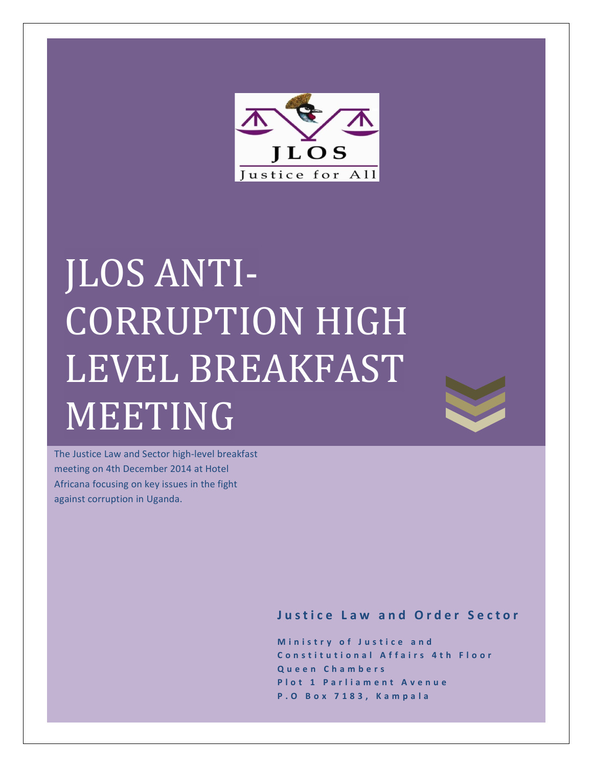

# JLOS ANTI-**CORRUPTION HIGH** LEVEL BREAKFAST MEETING



The Justice Law and Sector high-level breakfast meeting on 4th December 2014 at Hotel Africana focusing on key issues in the fight against corruption in Uganda.

**Justice Law and Order Sector**

**Ministry of Justice and Constitutional Affairs 4th Floor Queen Chambers Plot 1 Parliament Avenue P.O Box 7183, Kampala**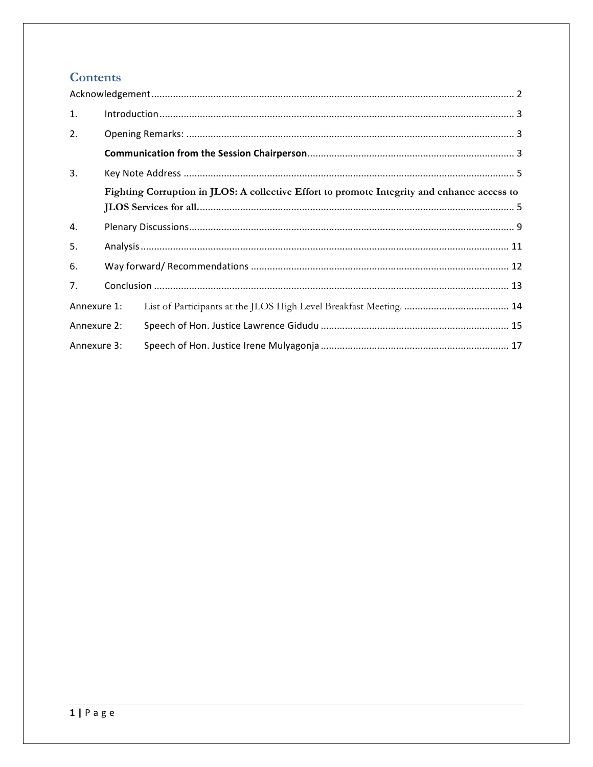# **Contents**

| 1.          |                                                                                             |  |  |  |  |  |  |
|-------------|---------------------------------------------------------------------------------------------|--|--|--|--|--|--|
| 2.          |                                                                                             |  |  |  |  |  |  |
|             |                                                                                             |  |  |  |  |  |  |
| 3.          |                                                                                             |  |  |  |  |  |  |
|             | Fighting Corruption in JLOS: A collective Effort to promote Integrity and enhance access to |  |  |  |  |  |  |
| 4.          |                                                                                             |  |  |  |  |  |  |
| 5.          |                                                                                             |  |  |  |  |  |  |
| 6.          |                                                                                             |  |  |  |  |  |  |
| 7.          |                                                                                             |  |  |  |  |  |  |
| Annexure 1: |                                                                                             |  |  |  |  |  |  |
| Annexure 2: |                                                                                             |  |  |  |  |  |  |
| Annexure 3: |                                                                                             |  |  |  |  |  |  |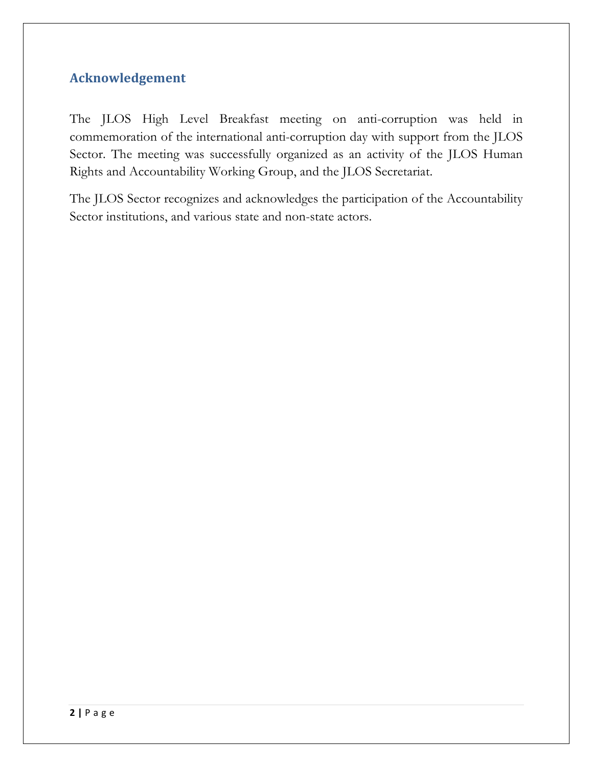# **Acknowledgement**

The JLOS High Level Breakfast meeting on anti-corruption was held in commemoration of the international anti-corruption day with support from the JLOS Sector. The meeting was successfully organized as an activity of the JLOS Human Rights and Accountability Working Group, and the JLOS Secretariat.

The JLOS Sector recognizes and acknowledges the participation of the Accountability Sector institutions, and various state and non-state actors.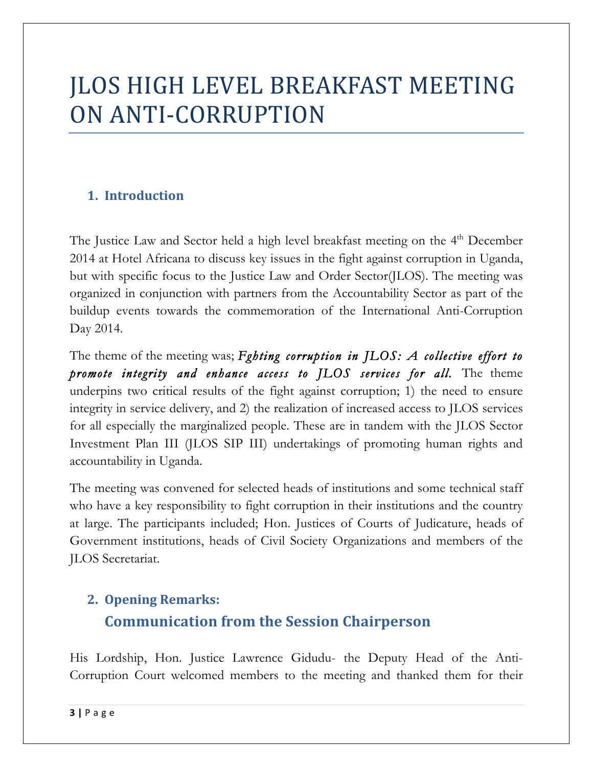# JLOS HIGH LEVEL BREAKFAST MEETING ON ANTI-CORRUPTION

# **1. Introduction**

The Justice Law and Sector held a high level breakfast meeting on the 4<sup>th</sup> December 2014 at Hotel Africana to discuss key issues in the fight against corruption in Uganda, but with specific focus to the Justice Law and Order Sector(JLOS). The meeting was organized in conjunction with partners from the Accountability Sector as part of the buildup events towards the commemoration of the International Anti-Corruption Day 2014.

The theme of the meeting was; *Fghting corruption in JLOS: A collective effort to promote integrity and enhance access to JLOS services for all.* The theme underpins two critical results of the fight against corruption; 1) the need to ensure integrity in service delivery, and 2) the realization of increased access to JLOS services for all especially the marginalized people. These are in tandem with the JLOS Sector Investment Plan III (JLOS SIP III) undertakings of promoting human rights and accountability in Uganda.

The meeting was convened for selected heads of institutions and some technical staff who have a key responsibility to fight corruption in their institutions and the country at large. The participants included; Hon. Justices of Courts of Judicature, heads of Government institutions, heads of Civil Society Organizations and members of the JLOS Secretariat.

# **2. Opening Remarks: Communication from the Session Chairperson**

His Lordship, Hon. Justice Lawrence Gidudu- the Deputy Head of the Anti-Corruption Court welcomed members to the meeting and thanked them for their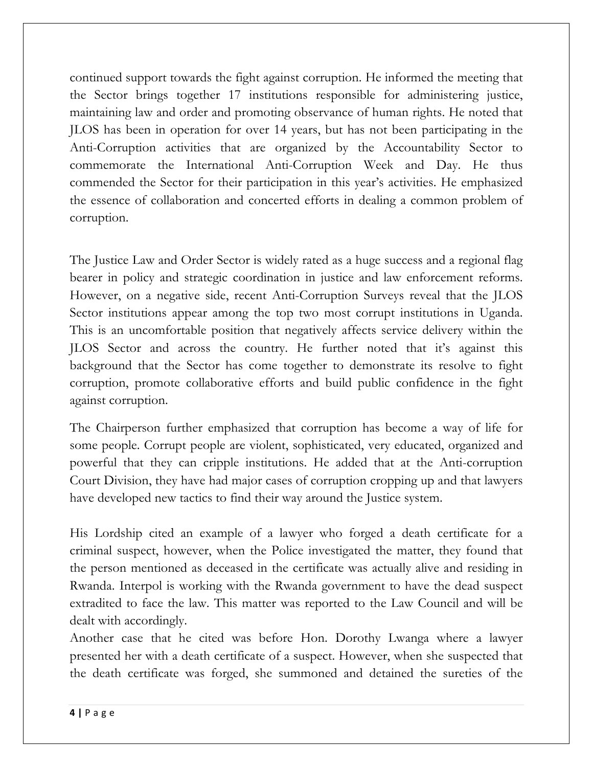continued support towards the fight against corruption. He informed the meeting that the Sector brings together 17 institutions responsible for administering justice, maintaining law and order and promoting observance of human rights. He noted that JLOS has been in operation for over 14 years, but has not been participating in the Anti-Corruption activities that are organized by the Accountability Sector to commemorate the International Anti-Corruption Week and Day. He thus commended the Sector for their participation in this year's activities. He emphasized the essence of collaboration and concerted efforts in dealing a common problem of corruption.

The Justice Law and Order Sector is widely rated as a huge success and a regional flag bearer in policy and strategic coordination in justice and law enforcement reforms. However, on a negative side, recent Anti-Corruption Surveys reveal that the JLOS Sector institutions appear among the top two most corrupt institutions in Uganda. This is an uncomfortable position that negatively affects service delivery within the JLOS Sector and across the country. He further noted that it's against this background that the Sector has come together to demonstrate its resolve to fight corruption, promote collaborative efforts and build public confidence in the fight against corruption.

The Chairperson further emphasized that corruption has become a way of life for some people. Corrupt people are violent, sophisticated, very educated, organized and powerful that they can cripple institutions. He added that at the Anti-corruption Court Division, they have had major cases of corruption cropping up and that lawyers have developed new tactics to find their way around the Justice system.

His Lordship cited an example of a lawyer who forged a death certificate for a criminal suspect, however, when the Police investigated the matter, they found that the person mentioned as deceased in the certificate was actually alive and residing in Rwanda. Interpol is working with the Rwanda government to have the dead suspect extradited to face the law. This matter was reported to the Law Council and will be dealt with accordingly.

Another case that he cited was before Hon. Dorothy Lwanga where a lawyer presented her with a death certificate of a suspect. However, when she suspected that the death certificate was forged, she summoned and detained the sureties of the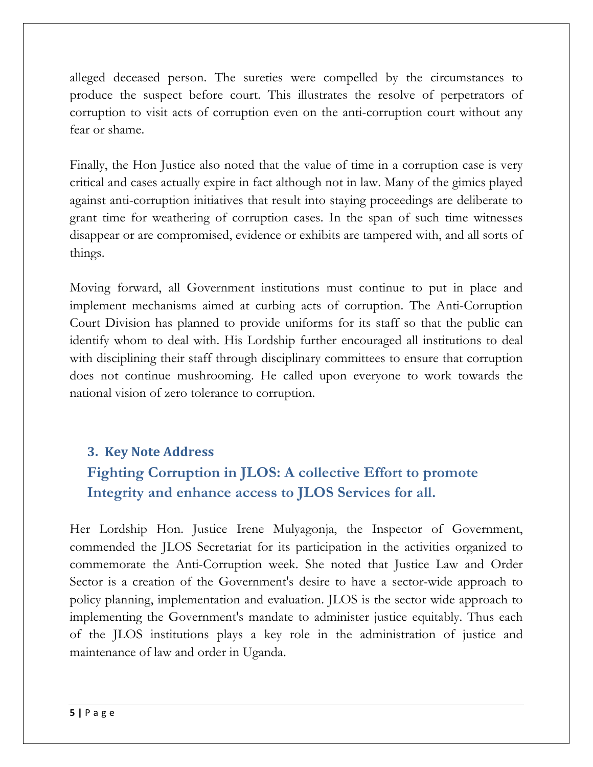alleged deceased person. The sureties were compelled by the circumstances to produce the suspect before court. This illustrates the resolve of perpetrators of corruption to visit acts of corruption even on the anti-corruption court without any fear or shame.

Finally, the Hon Justice also noted that the value of time in a corruption case is very critical and cases actually expire in fact although not in law. Many of the gimics played against anti-corruption initiatives that result into staying proceedings are deliberate to grant time for weathering of corruption cases. In the span of such time witnesses disappear or are compromised, evidence or exhibits are tampered with, and all sorts of things.

Moving forward, all Government institutions must continue to put in place and implement mechanisms aimed at curbing acts of corruption. The Anti-Corruption Court Division has planned to provide uniforms for its staff so that the public can identify whom to deal with. His Lordship further encouraged all institutions to deal with disciplining their staff through disciplinary committees to ensure that corruption does not continue mushrooming. He called upon everyone to work towards the national vision of zero tolerance to corruption.

# **3. Key Note Address**

# **Fighting Corruption in JLOS: A collective Effort to promote Integrity and enhance access to JLOS Services for all.**

Her Lordship Hon. Justice Irene Mulyagonja, the Inspector of Government, commended the JLOS Secretariat for its participation in the activities organized to commemorate the Anti-Corruption week. She noted that Justice Law and Order Sector is a creation of the Government's desire to have a sector-wide approach to policy planning, implementation and evaluation. JLOS is the sector wide approach to implementing the Government's mandate to administer justice equitably. Thus each of the JLOS institutions plays a key role in the administration of justice and maintenance of law and order in Uganda.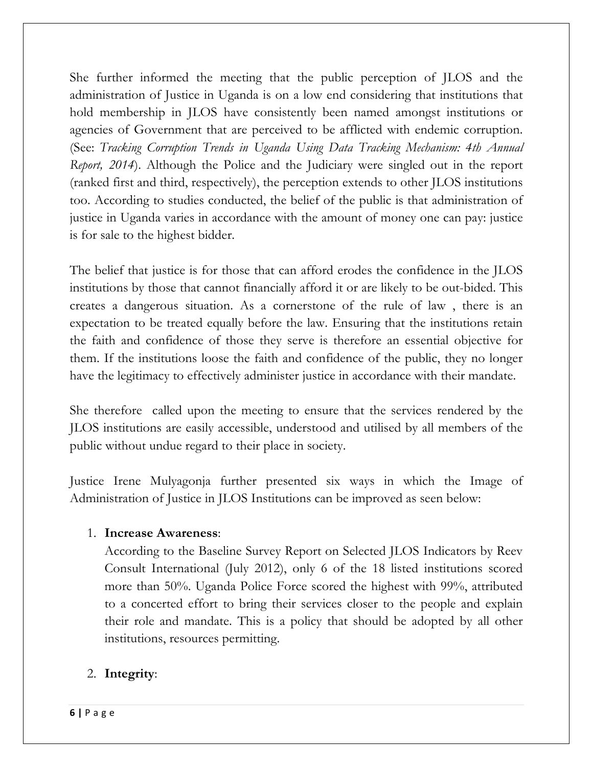She further informed the meeting that the public perception of JLOS and the administration of Justice in Uganda is on a low end considering that institutions that hold membership in JLOS have consistently been named amongst institutions or agencies of Government that are perceived to be afflicted with endemic corruption. (See: *Tracking Corruption Trends in Uganda Using Data Tracking Mechanism: 4th Annual Report, 2014*). Although the Police and the Judiciary were singled out in the report (ranked first and third, respectively), the perception extends to other JLOS institutions too. According to studies conducted, the belief of the public is that administration of justice in Uganda varies in accordance with the amount of money one can pay: justice is for sale to the highest bidder.

The belief that justice is for those that can afford erodes the confidence in the JLOS institutions by those that cannot financially afford it or are likely to be out-bided. This creates a dangerous situation. As a cornerstone of the rule of law , there is an expectation to be treated equally before the law. Ensuring that the institutions retain the faith and confidence of those they serve is therefore an essential objective for them. If the institutions loose the faith and confidence of the public, they no longer have the legitimacy to effectively administer justice in accordance with their mandate.

She therefore called upon the meeting to ensure that the services rendered by the JLOS institutions are easily accessible, understood and utilised by all members of the public without undue regard to their place in society.

Justice Irene Mulyagonja further presented six ways in which the Image of Administration of Justice in JLOS Institutions can be improved as seen below:

# 1. **Increase Awareness**:

According to the Baseline Survey Report on Selected JLOS Indicators by Reev Consult International (July 2012), only 6 of the 18 listed institutions scored more than 50%. Uganda Police Force scored the highest with 99%, attributed to a concerted effort to bring their services closer to the people and explain their role and mandate. This is a policy that should be adopted by all other institutions, resources permitting.

# 2. **Integrity**: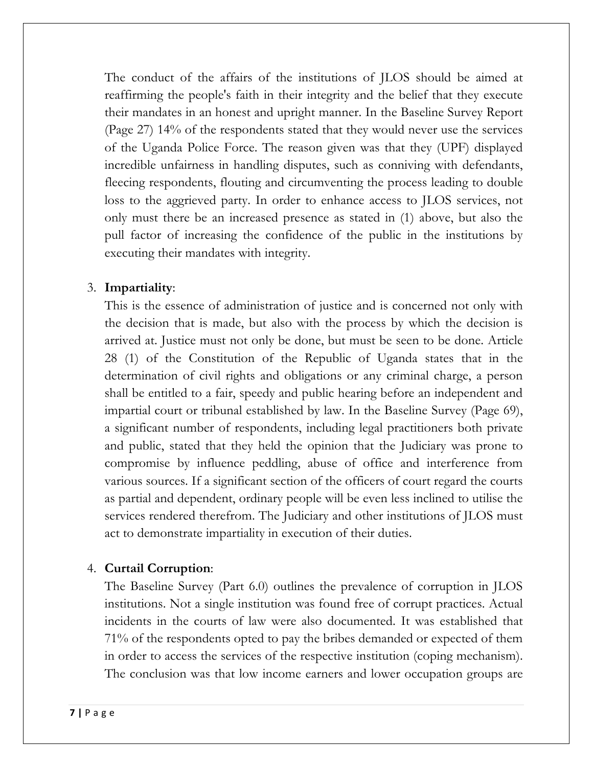The conduct of the affairs of the institutions of JLOS should be aimed at reaffirming the people's faith in their integrity and the belief that they execute their mandates in an honest and upright manner. In the Baseline Survey Report (Page 27) 14% of the respondents stated that they would never use the services of the Uganda Police Force. The reason given was that they (UPF) displayed incredible unfairness in handling disputes, such as conniving with defendants, fleecing respondents, flouting and circumventing the process leading to double loss to the aggrieved party. In order to enhance access to JLOS services, not only must there be an increased presence as stated in (1) above, but also the pull factor of increasing the confidence of the public in the institutions by executing their mandates with integrity.

#### 3. **Impartiality**:

This is the essence of administration of justice and is concerned not only with the decision that is made, but also with the process by which the decision is arrived at. Justice must not only be done, but must be seen to be done. Article 28 (1) of the Constitution of the Republic of Uganda states that in the determination of civil rights and obligations or any criminal charge, a person shall be entitled to a fair, speedy and public hearing before an independent and impartial court or tribunal established by law. In the Baseline Survey (Page 69), a significant number of respondents, including legal practitioners both private and public, stated that they held the opinion that the Judiciary was prone to compromise by influence peddling, abuse of office and interference from various sources. If a significant section of the officers of court regard the courts as partial and dependent, ordinary people will be even less inclined to utilise the services rendered therefrom. The Judiciary and other institutions of JLOS must act to demonstrate impartiality in execution of their duties.

#### 4. **Curtail Corruption**:

The Baseline Survey (Part 6.0) outlines the prevalence of corruption in JLOS institutions. Not a single institution was found free of corrupt practices. Actual incidents in the courts of law were also documented. It was established that 71% of the respondents opted to pay the bribes demanded or expected of them in order to access the services of the respective institution (coping mechanism). The conclusion was that low income earners and lower occupation groups are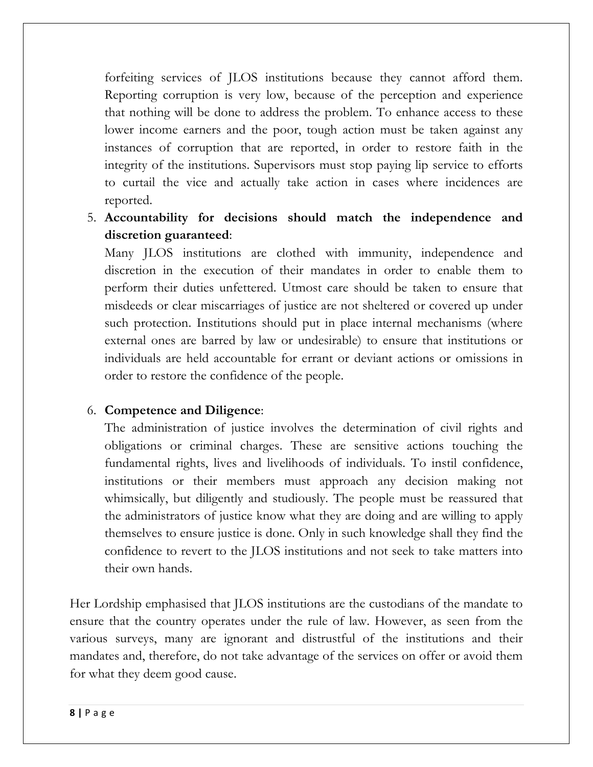forfeiting services of JLOS institutions because they cannot afford them. Reporting corruption is very low, because of the perception and experience that nothing will be done to address the problem. To enhance access to these lower income earners and the poor, tough action must be taken against any instances of corruption that are reported, in order to restore faith in the integrity of the institutions. Supervisors must stop paying lip service to efforts to curtail the vice and actually take action in cases where incidences are reported.

5. **Accountability for decisions should match the independence and discretion guaranteed**:

Many JLOS institutions are clothed with immunity, independence and discretion in the execution of their mandates in order to enable them to perform their duties unfettered. Utmost care should be taken to ensure that misdeeds or clear miscarriages of justice are not sheltered or covered up under such protection. Institutions should put in place internal mechanisms (where external ones are barred by law or undesirable) to ensure that institutions or individuals are held accountable for errant or deviant actions or omissions in order to restore the confidence of the people.

#### 6. **Competence and Diligence**:

The administration of justice involves the determination of civil rights and obligations or criminal charges. These are sensitive actions touching the fundamental rights, lives and livelihoods of individuals. To instil confidence, institutions or their members must approach any decision making not whimsically, but diligently and studiously. The people must be reassured that the administrators of justice know what they are doing and are willing to apply themselves to ensure justice is done. Only in such knowledge shall they find the confidence to revert to the JLOS institutions and not seek to take matters into their own hands.

Her Lordship emphasised that JLOS institutions are the custodians of the mandate to ensure that the country operates under the rule of law. However, as seen from the various surveys, many are ignorant and distrustful of the institutions and their mandates and, therefore, do not take advantage of the services on offer or avoid them for what they deem good cause.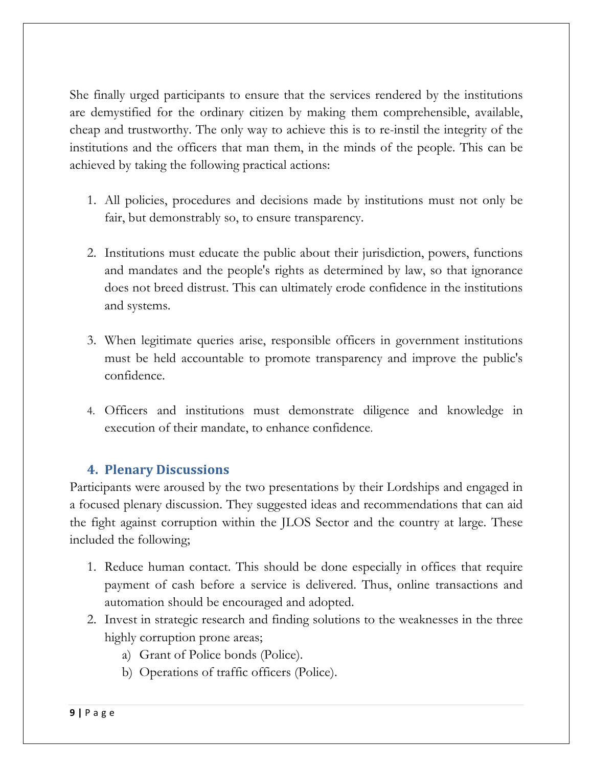She finally urged participants to ensure that the services rendered by the institutions are demystified for the ordinary citizen by making them comprehensible, available, cheap and trustworthy. The only way to achieve this is to re-instil the integrity of the institutions and the officers that man them, in the minds of the people. This can be achieved by taking the following practical actions:

- 1. All policies, procedures and decisions made by institutions must not only be fair, but demonstrably so, to ensure transparency.
- 2. Institutions must educate the public about their jurisdiction, powers, functions and mandates and the people's rights as determined by law, so that ignorance does not breed distrust. This can ultimately erode confidence in the institutions and systems.
- 3. When legitimate queries arise, responsible officers in government institutions must be held accountable to promote transparency and improve the public's confidence.
- 4. Officers and institutions must demonstrate diligence and knowledge in execution of their mandate, to enhance confidence.

# **4. Plenary Discussions**

Participants were aroused by the two presentations by their Lordships and engaged in a focused plenary discussion. They suggested ideas and recommendations that can aid the fight against corruption within the JLOS Sector and the country at large. These included the following;

- 1. Reduce human contact. This should be done especially in offices that require payment of cash before a service is delivered. Thus, online transactions and automation should be encouraged and adopted.
- 2. Invest in strategic research and finding solutions to the weaknesses in the three highly corruption prone areas;
	- a) Grant of Police bonds (Police).
	- b) Operations of traffic officers (Police).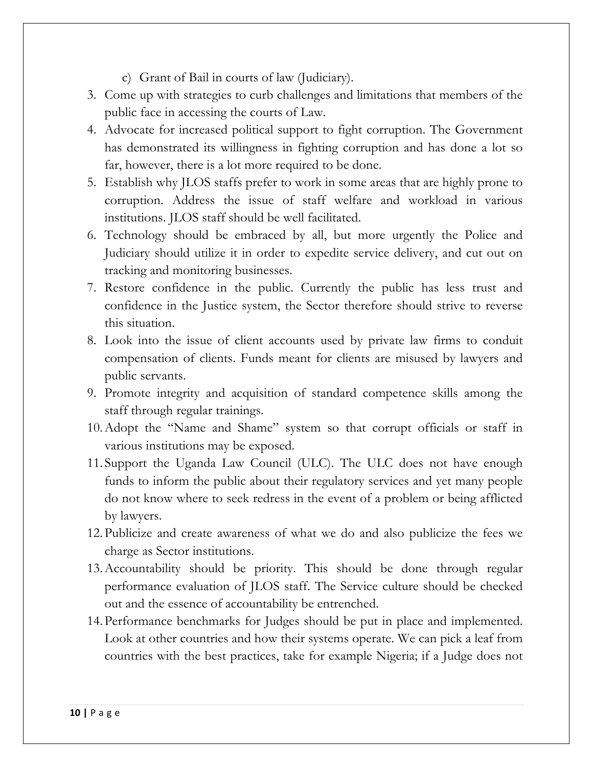- c) Grant of Bail in courts of law (Judiciary).
- 3. Come up with strategies to curb challenges and limitations that members of the public face in accessing the courts of Law.
- 4. Advocate for increased political support to fight corruption. The Government has demonstrated its willingness in fighting corruption and has done a lot so far, however, there is a lot more required to be done.
- 5. Establish why JLOS staffs prefer to work in some areas that are highly prone to corruption. Address the issue of staff welfare and workload in various institutions. JLOS staff should be well facilitated.
- 6. Technology should be embraced by all, but more urgently the Police and Judiciary should utilize it in order to expedite service delivery, and cut out on tracking and monitoring businesses.
- 7. Restore confidence in the public. Currently the public has less trust and confidence in the Justice system, the Sector therefore should strive to reverse this situation.
- 8. Look into the issue of client accounts used by private law firms to conduit compensation of clients. Funds meant for clients are misused by lawyers and public servants.
- 9. Promote integrity and acquisition of standard competence skills among the staff through regular trainings.
- 10.Adopt the "Name and Shame" system so that corrupt officials or staff in various institutions may be exposed.
- 11. Support the Uganda Law Council (ULC). The ULC does not have enough funds to inform the public about their regulatory services and yet many people do not know where to seek redress in the event of a problem or being afflicted by lawyers.
- 12.Publicize and create awareness of what we do and also publicize the fees we charge as Sector institutions.
- 13.Accountability should be priority. This should be done through regular performance evaluation of JLOS staff. The Service culture should be checked out and the essence of accountability be entrenched.
- 14.Performance benchmarks for Judges should be put in place and implemented. Look at other countries and how their systems operate. We can pick a leaf from countries with the best practices, take for example Nigeria; if a Judge does not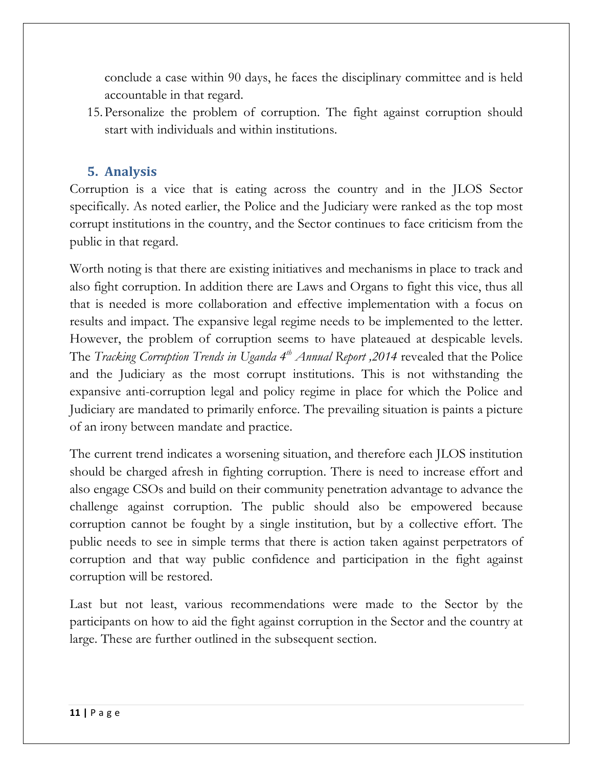conclude a case within 90 days, he faces the disciplinary committee and is held accountable in that regard.

15.Personalize the problem of corruption. The fight against corruption should start with individuals and within institutions.

# **5. Analysis**

Corruption is a vice that is eating across the country and in the JLOS Sector specifically. As noted earlier, the Police and the Judiciary were ranked as the top most corrupt institutions in the country, and the Sector continues to face criticism from the public in that regard.

Worth noting is that there are existing initiatives and mechanisms in place to track and also fight corruption. In addition there are Laws and Organs to fight this vice, thus all that is needed is more collaboration and effective implementation with a focus on results and impact. The expansive legal regime needs to be implemented to the letter. However, the problem of corruption seems to have plateaued at despicable levels. The *Tracking Corruption Trends in Uganda 4th Annual Report ,2014* revealed that the Police and the Judiciary as the most corrupt institutions. This is not withstanding the expansive anti-corruption legal and policy regime in place for which the Police and Judiciary are mandated to primarily enforce. The prevailing situation is paints a picture of an irony between mandate and practice.

The current trend indicates a worsening situation, and therefore each JLOS institution should be charged afresh in fighting corruption. There is need to increase effort and also engage CSOs and build on their community penetration advantage to advance the challenge against corruption. The public should also be empowered because corruption cannot be fought by a single institution, but by a collective effort. The public needs to see in simple terms that there is action taken against perpetrators of corruption and that way public confidence and participation in the fight against corruption will be restored.

Last but not least, various recommendations were made to the Sector by the participants on how to aid the fight against corruption in the Sector and the country at large. These are further outlined in the subsequent section.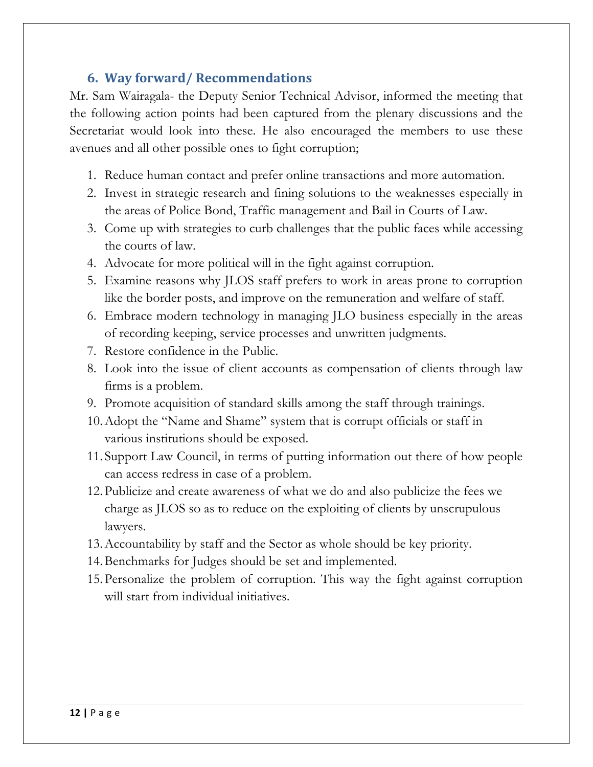# **6. Way forward/ Recommendations**

Mr. Sam Wairagala- the Deputy Senior Technical Advisor, informed the meeting that the following action points had been captured from the plenary discussions and the Secretariat would look into these. He also encouraged the members to use these avenues and all other possible ones to fight corruption;

- 1. Reduce human contact and prefer online transactions and more automation.
- 2. Invest in strategic research and fining solutions to the weaknesses especially in the areas of Police Bond, Traffic management and Bail in Courts of Law.
- 3. Come up with strategies to curb challenges that the public faces while accessing the courts of law.
- 4. Advocate for more political will in the fight against corruption.
- 5. Examine reasons why JLOS staff prefers to work in areas prone to corruption like the border posts, and improve on the remuneration and welfare of staff.
- 6. Embrace modern technology in managing JLO business especially in the areas of recording keeping, service processes and unwritten judgments.
- 7. Restore confidence in the Public.
- 8. Look into the issue of client accounts as compensation of clients through law firms is a problem.
- 9. Promote acquisition of standard skills among the staff through trainings.
- 10.Adopt the "Name and Shame" system that is corrupt officials or staff in various institutions should be exposed.
- 11. Support Law Council, in terms of putting information out there of how people can access redress in case of a problem.
- 12.Publicize and create awareness of what we do and also publicize the fees we charge as JLOS so as to reduce on the exploiting of clients by unscrupulous lawyers.
- 13.Accountability by staff and the Sector as whole should be key priority.
- 14.Benchmarks for Judges should be set and implemented.
- 15.Personalize the problem of corruption. This way the fight against corruption will start from individual initiatives.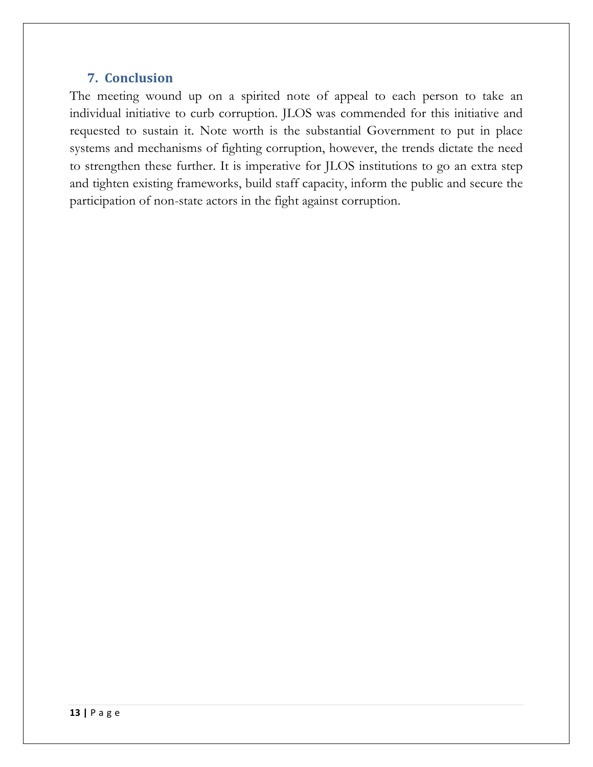# **7. Conclusion**

The meeting wound up on a spirited note of appeal to each person to take an individual initiative to curb corruption. JLOS was commended for this initiative and requested to sustain it. Note worth is the substantial Government to put in place systems and mechanisms of fighting corruption, however, the trends dictate the need to strengthen these further. It is imperative for JLOS institutions to go an extra step and tighten existing frameworks, build staff capacity, inform the public and secure the participation of non-state actors in the fight against corruption.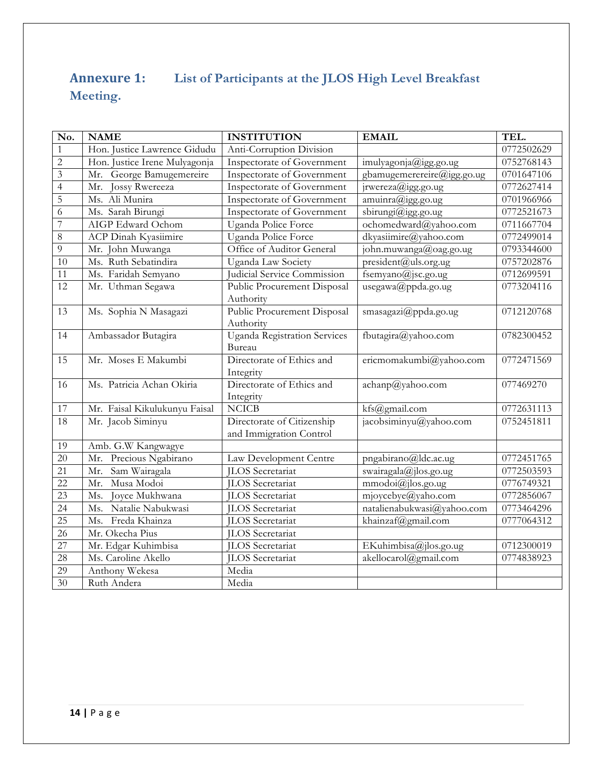# **Annexure 1: List of Participants at the JLOS High Level Breakfast Meeting.**

| No.             | <b>NAME</b>                   | <b>INSTITUTION</b>                                    | <b>EMAIL</b>                            | TEL.       |
|-----------------|-------------------------------|-------------------------------------------------------|-----------------------------------------|------------|
| $\mathbf{1}$    | Hon. Justice Lawrence Gidudu  | Anti-Corruption Division                              |                                         | 0772502629 |
| $\overline{2}$  | Hon. Justice Irene Mulyagonja | Inspectorate of Government                            | imulyagonja@igg.go.ug                   | 0752768143 |
| $\overline{3}$  | Mr. George Bamugemereire      | Inspectorate of Government                            | gbamugemerereire@igg.go.ug              | 0701647106 |
| $\overline{4}$  | Mr.<br><b>Jossy Rwereeza</b>  | Inspectorate of Government                            | jrwereza@igg.go.ug                      | 0772627414 |
| 5               | Ms. Ali Munira                | Inspectorate of Government                            | amuinra@igg.go.ug                       | 0701966966 |
| 6               | Ms. Sarah Birungi             | Inspectorate of Government                            | sbirungi@igg.go.ug                      | 0772521673 |
| $\overline{7}$  | AIGP Edward Ochom             | Uganda Police Force                                   | ochomedward@yahoo.com                   | 0711667704 |
| $\overline{8}$  | <b>ACP Dinah Kyasiimire</b>   | Uganda Police Force                                   | dkyasiimire@yahoo.com                   | 0772499014 |
| 9               | Mr. John Muwanga              | Office of Auditor General                             | john.muwanga@oag.go.ug                  | 0793344600 |
| 10              | Ms. Ruth Sebatindira          | Uganda Law Society                                    | president@uls.org.ug                    | 0757202876 |
| 11              | Ms. Faridah Semyano           | Judicial Service Commission                           | fsemyano@jsc.go.ug                      | 0712699591 |
| 12              | Mr. Uthman Segawa             | Public Procurement Disposal<br>Authority              | usegawa@ppda.go.ug                      | 0773204116 |
| 13              | Ms. Sophia N Masagazi         | Public Procurement Disposal<br>Authority              | smasagazi@ppda.go.ug                    | 0712120768 |
| $\overline{14}$ | Ambassador Butagira           | <b>Uganda Registration Services</b><br>Bureau         | fbutagira@yahoo.com                     | 0782300452 |
| $\overline{15}$ | Mr. Moses E Makumbi           | Directorate of Ethics and<br>Integrity                | ericmomakumbi@yahoo.com                 | 0772471569 |
| 16              | Ms. Patricia Achan Okiria     | Directorate of Ethics and<br>Integrity                | achanp@yahoo.com                        | 077469270  |
| 17              | Mr. Faisal Kikulukunyu Faisal | <b>NCICB</b>                                          | kfs@gmail.com                           | 0772631113 |
| 18              | Mr. Jacob Siminyu             | Directorate of Citizenship<br>and Immigration Control | jacobsiminyu@yahoo.com                  | 0752451811 |
| 19              | Amb. G.W Kangwagye            |                                                       |                                         |            |
| 20              | Mr. Precious Ngabirano        | Law Development Centre                                | pngabirano@ldc.ac.ug                    | 0772451765 |
| 21              | Sam Wairagala<br>Mr.          | <b>ILOS</b> Secretariat                               | swairagala@jlos.go.ug                   | 0772503593 |
| $\overline{22}$ | Musa Modoi<br>Mr.             | <b>ILOS</b> Secretariat                               | $\text{mmodoi}(\widehat{a})$ jlos.go.ug | 0776749321 |
| 23              | Joyce Mukhwana<br>Ms.         | <b>ILOS</b> Secretariat                               | mjoycebye@yaho.com                      | 0772856067 |
| 24              | Ms. Natalie Nabukwasi         | <b>ILOS</b> Secretariat                               | natalienabukwasi@yahoo.com              | 0773464296 |
| $\overline{25}$ | Ms. Freda Khainza             | <b>ILOS</b> Secretariat                               | khainzaf@gmail.com                      | 0777064312 |
| $\overline{26}$ | Mr. Okecha Pius               | <b>ILOS</b> Secretariat                               |                                         |            |
| $\overline{27}$ | Mr. Edgar Kuhimbisa           | <b>ILOS</b> Secretariat                               | EKuhimbisa@jlos.go.ug                   | 0712300019 |
| 28              | Ms. Caroline Akello           | <b>ILOS</b> Secretariat                               | akellocarol@gmail.com                   | 0774838923 |
| 29              | Anthony Wekesa                | Media                                                 |                                         |            |
| 30              | Ruth Andera                   | Media                                                 |                                         |            |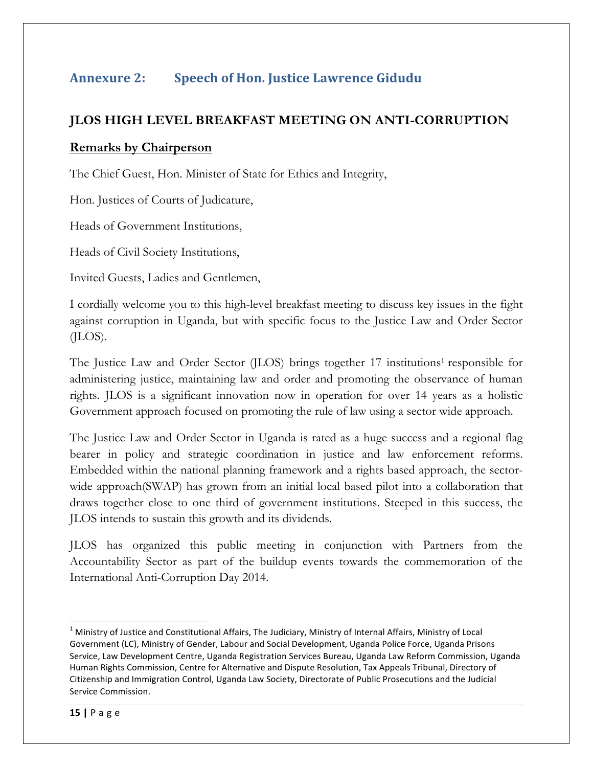# **Annexure 2: Speech of Hon. Justice Lawrence Gidudu**

#### **JLOS HIGH LEVEL BREAKFAST MEETING ON ANTI-CORRUPTION**

#### **Remarks by Chairperson**

The Chief Guest, Hon. Minister of State for Ethics and Integrity,

Hon. Justices of Courts of Judicature,

Heads of Government Institutions,

Heads of Civil Society Institutions,

Invited Guests, Ladies and Gentlemen,

I cordially welcome you to this high-level breakfast meeting to discuss key issues in the fight against corruption in Uganda, but with specific focus to the Justice Law and Order Sector (JLOS).

The Justice Law and Order Sector (JLOS) brings together 17 institutions<sup>1</sup> responsible for administering justice, maintaining law and order and promoting the observance of human rights. JLOS is a significant innovation now in operation for over 14 years as a holistic Government approach focused on promoting the rule of law using a sector wide approach.

The Justice Law and Order Sector in Uganda is rated as a huge success and a regional flag bearer in policy and strategic coordination in justice and law enforcement reforms. Embedded within the national planning framework and a rights based approach, the sectorwide approach(SWAP) has grown from an initial local based pilot into a collaboration that draws together close to one third of government institutions. Steeped in this success, the JLOS intends to sustain this growth and its dividends.

JLOS has organized this public meeting in conjunction with Partners from the Accountability Sector as part of the buildup events towards the commemoration of the International Anti-Corruption Day 2014.

 

 $<sup>1</sup>$  Ministry of Justice and Constitutional Affairs, The Judiciary, Ministry of Internal Affairs, Ministry of Local</sup> Government (LC), Ministry of Gender, Labour and Social Development, Uganda Police Force, Uganda Prisons Service, Law Development Centre, Uganda Registration Services Bureau, Uganda Law Reform Commission, Uganda Human Rights Commission, Centre for Alternative and Dispute Resolution, Tax Appeals Tribunal, Directory of Citizenship and Immigration Control, Uganda Law Society, Directorate of Public Prosecutions and the Judicial Service Commission.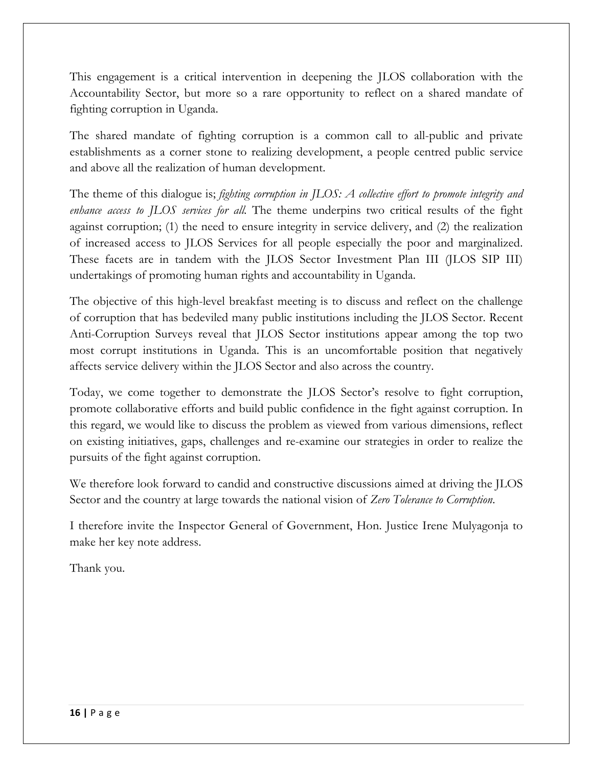This engagement is a critical intervention in deepening the JLOS collaboration with the Accountability Sector, but more so a rare opportunity to reflect on a shared mandate of fighting corruption in Uganda.

The shared mandate of fighting corruption is a common call to all-public and private establishments as a corner stone to realizing development, a people centred public service and above all the realization of human development.

The theme of this dialogue is; *fighting corruption in JLOS: A collective effort to promote integrity and enhance access to JLOS services for all.* The theme underpins two critical results of the fight against corruption; (1) the need to ensure integrity in service delivery, and (2) the realization of increased access to JLOS Services for all people especially the poor and marginalized. These facets are in tandem with the JLOS Sector Investment Plan III (JLOS SIP III) undertakings of promoting human rights and accountability in Uganda.

The objective of this high-level breakfast meeting is to discuss and reflect on the challenge of corruption that has bedeviled many public institutions including the JLOS Sector. Recent Anti-Corruption Surveys reveal that JLOS Sector institutions appear among the top two most corrupt institutions in Uganda. This is an uncomfortable position that negatively affects service delivery within the JLOS Sector and also across the country.

Today, we come together to demonstrate the JLOS Sector's resolve to fight corruption, promote collaborative efforts and build public confidence in the fight against corruption. In this regard, we would like to discuss the problem as viewed from various dimensions, reflect on existing initiatives, gaps, challenges and re-examine our strategies in order to realize the pursuits of the fight against corruption.

We therefore look forward to candid and constructive discussions aimed at driving the JLOS Sector and the country at large towards the national vision of *Zero Tolerance to Corruption*.

I therefore invite the Inspector General of Government, Hon. Justice Irene Mulyagonja to make her key note address.

Thank you.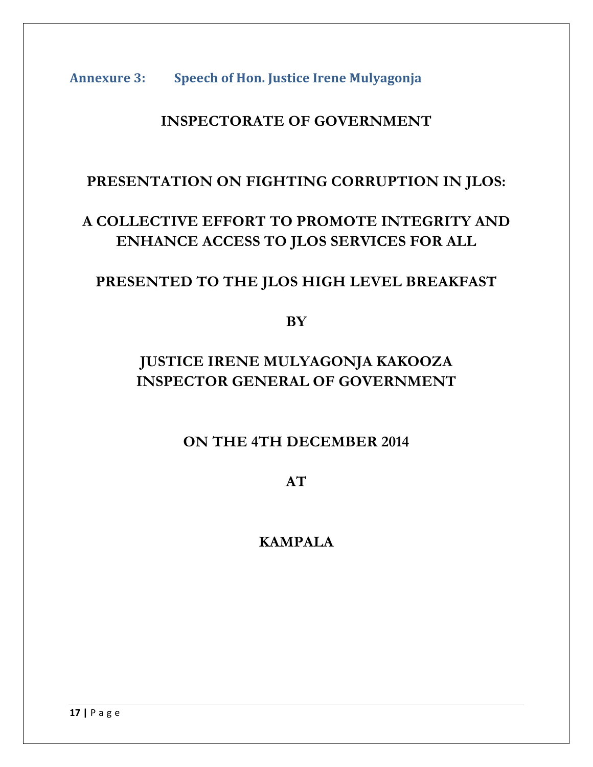Annexure 3: **Speech of Hon. Justice Irene Mulyagonja** 

# **INSPECTORATE OF GOVERNMENT**

# **PRESENTATION ON FIGHTING CORRUPTION IN JLOS:**

# **A COLLECTIVE EFFORT TO PROMOTE INTEGRITY AND ENHANCE ACCESS TO JLOS SERVICES FOR ALL**

# **PRESENTED TO THE JLOS HIGH LEVEL BREAKFAST**

**BY** 

# **JUSTICE IRENE MULYAGONJA KAKOOZA INSPECTOR GENERAL OF GOVERNMENT**

# **ON THE 4TH DECEMBER 2014**

**AT**

# **KAMPALA**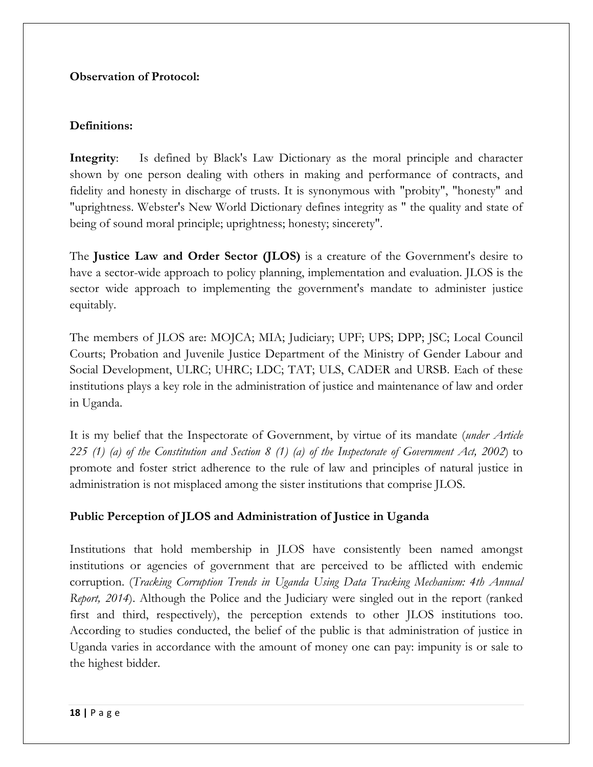#### **Observation of Protocol:**

#### **Definitions:**

**Integrity**: Is defined by Black's Law Dictionary as the moral principle and character shown by one person dealing with others in making and performance of contracts, and fidelity and honesty in discharge of trusts. It is synonymous with "probity", "honesty" and "uprightness. Webster's New World Dictionary defines integrity as " the quality and state of being of sound moral principle; uprightness; honesty; sincerety".

The **Justice Law and Order Sector (JLOS)** is a creature of the Government's desire to have a sector-wide approach to policy planning, implementation and evaluation. JLOS is the sector wide approach to implementing the government's mandate to administer justice equitably.

The members of JLOS are: MOJCA; MIA; Judiciary; UPF; UPS; DPP; JSC; Local Council Courts; Probation and Juvenile Justice Department of the Ministry of Gender Labour and Social Development, ULRC; UHRC; LDC; TAT; ULS, CADER and URSB. Each of these institutions plays a key role in the administration of justice and maintenance of law and order in Uganda.

It is my belief that the Inspectorate of Government, by virtue of its mandate (*under Article 225 (1) (a) of the Constitution and Section 8 (1) (a) of the Inspectorate of Government Act, 2002*) to promote and foster strict adherence to the rule of law and principles of natural justice in administration is not misplaced among the sister institutions that comprise JLOS.

#### **Public Perception of JLOS and Administration of Justice in Uganda**

Institutions that hold membership in JLOS have consistently been named amongst institutions or agencies of government that are perceived to be afflicted with endemic corruption. (*Tracking Corruption Trends in Uganda Using Data Tracking Mechanism: 4th Annual Report, 2014*). Although the Police and the Judiciary were singled out in the report (ranked first and third, respectively), the perception extends to other JLOS institutions too. According to studies conducted, the belief of the public is that administration of justice in Uganda varies in accordance with the amount of money one can pay: impunity is or sale to the highest bidder.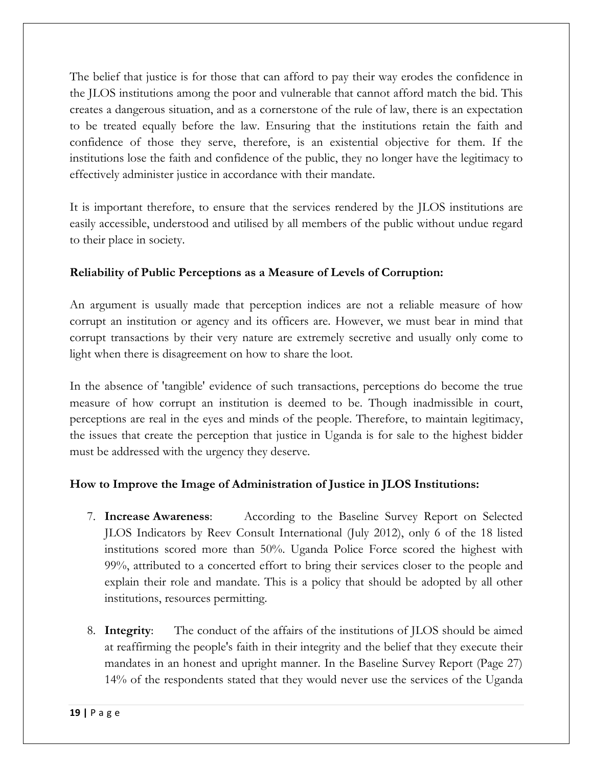The belief that justice is for those that can afford to pay their way erodes the confidence in the JLOS institutions among the poor and vulnerable that cannot afford match the bid. This creates a dangerous situation, and as a cornerstone of the rule of law, there is an expectation to be treated equally before the law. Ensuring that the institutions retain the faith and confidence of those they serve, therefore, is an existential objective for them. If the institutions lose the faith and confidence of the public, they no longer have the legitimacy to effectively administer justice in accordance with their mandate.

It is important therefore, to ensure that the services rendered by the JLOS institutions are easily accessible, understood and utilised by all members of the public without undue regard to their place in society.

#### **Reliability of Public Perceptions as a Measure of Levels of Corruption:**

An argument is usually made that perception indices are not a reliable measure of how corrupt an institution or agency and its officers are. However, we must bear in mind that corrupt transactions by their very nature are extremely secretive and usually only come to light when there is disagreement on how to share the loot.

In the absence of 'tangible' evidence of such transactions, perceptions do become the true measure of how corrupt an institution is deemed to be. Though inadmissible in court, perceptions are real in the eyes and minds of the people. Therefore, to maintain legitimacy, the issues that create the perception that justice in Uganda is for sale to the highest bidder must be addressed with the urgency they deserve.

#### **How to Improve the Image of Administration of Justice in JLOS Institutions:**

- 7. **Increase Awareness**: According to the Baseline Survey Report on Selected JLOS Indicators by Reev Consult International (July 2012), only 6 of the 18 listed institutions scored more than 50%. Uganda Police Force scored the highest with 99%, attributed to a concerted effort to bring their services closer to the people and explain their role and mandate. This is a policy that should be adopted by all other institutions, resources permitting.
- 8. **Integrity**: The conduct of the affairs of the institutions of JLOS should be aimed at reaffirming the people's faith in their integrity and the belief that they execute their mandates in an honest and upright manner. In the Baseline Survey Report (Page 27) 14% of the respondents stated that they would never use the services of the Uganda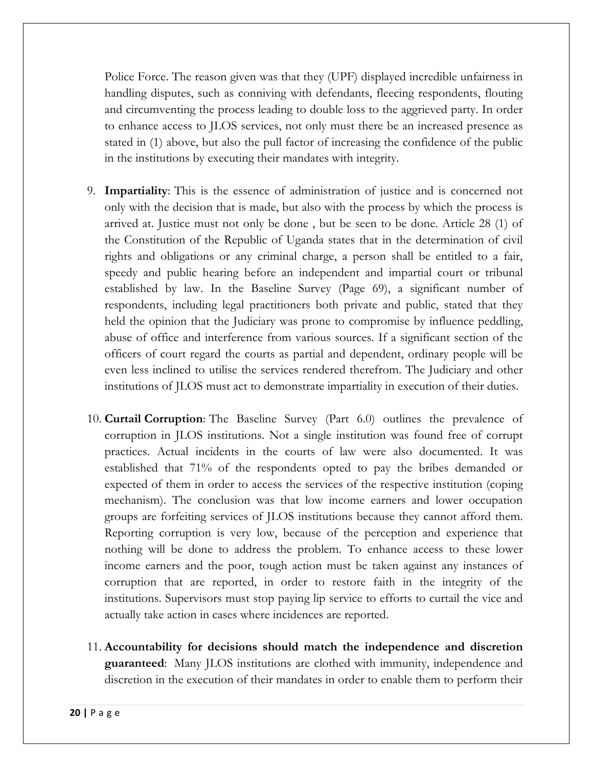Police Force. The reason given was that they (UPF) displayed incredible unfairness in handling disputes, such as conniving with defendants, fleecing respondents, flouting and circumventing the process leading to double loss to the aggrieved party. In order to enhance access to JLOS services, not only must there be an increased presence as stated in (1) above, but also the pull factor of increasing the confidence of the public in the institutions by executing their mandates with integrity.

- 9. **Impartiality**: This is the essence of administration of justice and is concerned not only with the decision that is made, but also with the process by which the process is arrived at. Justice must not only be done , but be seen to be done. Article 28 (1) of the Constitution of the Republic of Uganda states that in the determination of civil rights and obligations or any criminal charge, a person shall be entitled to a fair, speedy and public hearing before an independent and impartial court or tribunal established by law. In the Baseline Survey (Page 69), a significant number of respondents, including legal practitioners both private and public, stated that they held the opinion that the Judiciary was prone to compromise by influence peddling, abuse of office and interference from various sources. If a significant section of the officers of court regard the courts as partial and dependent, ordinary people will be even less inclined to utilise the services rendered therefrom. The Judiciary and other institutions of JLOS must act to demonstrate impartiality in execution of their duties.
- 10. **Curtail Corruption**: The Baseline Survey (Part 6.0) outlines the prevalence of corruption in JLOS institutions. Not a single institution was found free of corrupt practices. Actual incidents in the courts of law were also documented. It was established that 71% of the respondents opted to pay the bribes demanded or expected of them in order to access the services of the respective institution (coping mechanism). The conclusion was that low income earners and lower occupation groups are forfeiting services of JLOS institutions because they cannot afford them. Reporting corruption is very low, because of the perception and experience that nothing will be done to address the problem. To enhance access to these lower income earners and the poor, tough action must be taken against any instances of corruption that are reported, in order to restore faith in the integrity of the institutions. Supervisors must stop paying lip service to efforts to curtail the vice and actually take action in cases where incidences are reported.
- 11. **Accountability for decisions should match the independence and discretion guaranteed**: Many JLOS institutions are clothed with immunity, independence and discretion in the execution of their mandates in order to enable them to perform their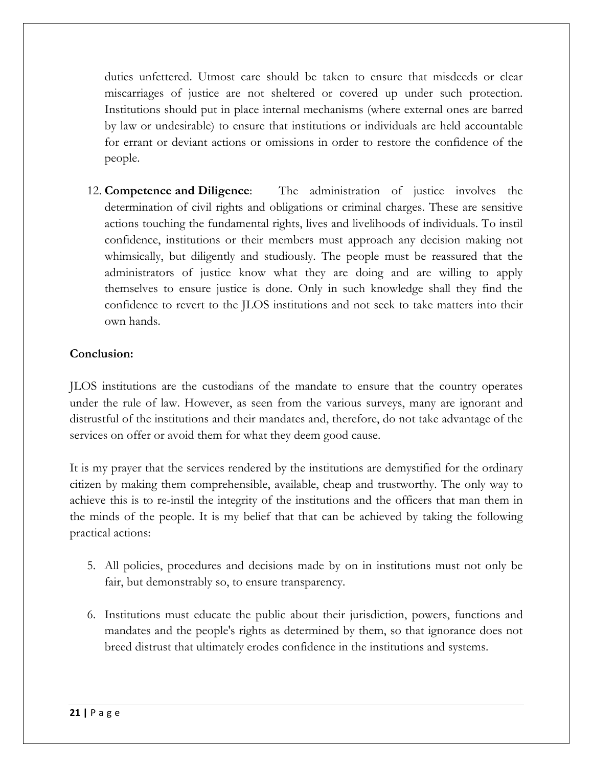duties unfettered. Utmost care should be taken to ensure that misdeeds or clear miscarriages of justice are not sheltered or covered up under such protection. Institutions should put in place internal mechanisms (where external ones are barred by law or undesirable) to ensure that institutions or individuals are held accountable for errant or deviant actions or omissions in order to restore the confidence of the people.

12. **Competence and Diligence**: The administration of justice involves the determination of civil rights and obligations or criminal charges. These are sensitive actions touching the fundamental rights, lives and livelihoods of individuals. To instil confidence, institutions or their members must approach any decision making not whimsically, but diligently and studiously. The people must be reassured that the administrators of justice know what they are doing and are willing to apply themselves to ensure justice is done. Only in such knowledge shall they find the confidence to revert to the JLOS institutions and not seek to take matters into their own hands.

#### **Conclusion:**

JLOS institutions are the custodians of the mandate to ensure that the country operates under the rule of law. However, as seen from the various surveys, many are ignorant and distrustful of the institutions and their mandates and, therefore, do not take advantage of the services on offer or avoid them for what they deem good cause.

It is my prayer that the services rendered by the institutions are demystified for the ordinary citizen by making them comprehensible, available, cheap and trustworthy. The only way to achieve this is to re-instil the integrity of the institutions and the officers that man them in the minds of the people. It is my belief that that can be achieved by taking the following practical actions:

- 5. All policies, procedures and decisions made by on in institutions must not only be fair, but demonstrably so, to ensure transparency.
- 6. Institutions must educate the public about their jurisdiction, powers, functions and mandates and the people's rights as determined by them, so that ignorance does not breed distrust that ultimately erodes confidence in the institutions and systems.